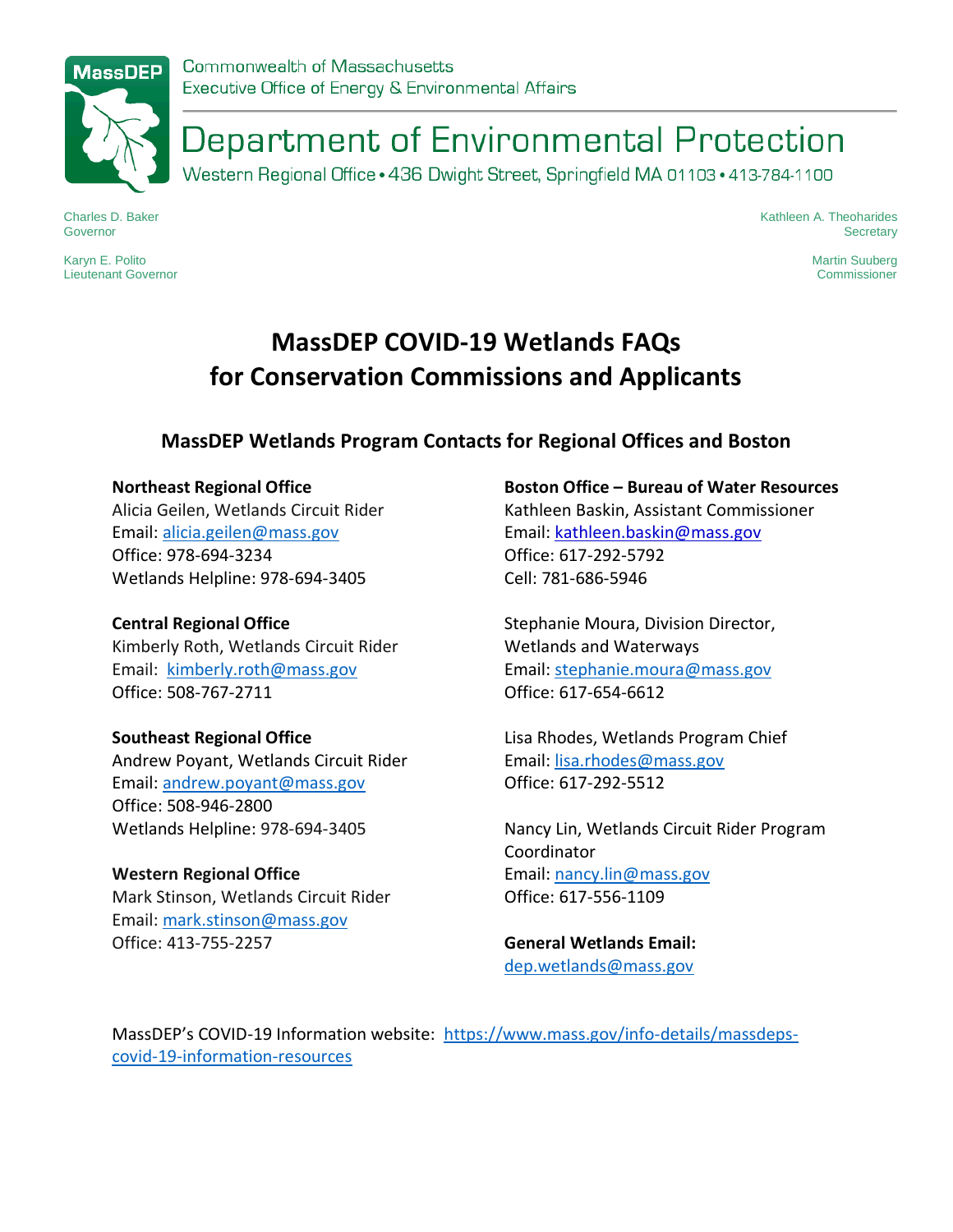

# Department of Environmental Protection

Western Regional Office · 436 Dwight Street, Springfield MA 01103 · 413-784-1100

Charles D. Baker Governor

Karyn E. Polito Lieutenant Governor Kathleen A. Theoharides **Secretary** 

> Martin Suuberg Commissioner

# **MassDEP COVID-19 Wetlands FAQs for Conservation Commissions and Applicants**

# **MassDEP Wetlands Program Contacts for Regional Offices and Boston**

#### **Northeast Regional Office**

Alicia Geilen, Wetlands Circuit Rider Email: [alicia.geilen@mass.gov](mailto:alicia.geilen@mass.gov) Office: 978-694-3234 Wetlands Helpline: 978-694-3405

#### **Central Regional Office**

Kimberly Roth, Wetlands Circuit Rider Email: [kimberly.roth@mass.gov](mailto:kimberly.roth@mass.gov) Office: 508-767-2711

#### **Southeast Regional Office**

Andrew Poyant, Wetlands Circuit Rider Email: [andrew.poyant@mass.gov](mailto:andrew.poyant@mass.gov) Office: 508-946-2800 Wetlands Helpline: 978-694-3405

#### **Western Regional Office**

Mark Stinson, Wetlands Circuit Rider Email: [mark.stinson@mass.gov](mailto:mark.stinson@mass.gov) Office: 413-755-2257

#### **Boston Office – Bureau of Water Resources**

Kathleen Baskin, Assistant Commissioner Email: [kathleen.baskin@mass.gov](https://email.state.ma.us/OWA/nancy.lin@mass.gov/redir.aspx?REF=eVCpiAMN4MGnMdJnFxgnH4qzFxB3DKVhcvLNqvyhIw70OjPbONrXCAFtYWlsdG86a2F0aGxlZW4uYmFza2luQG1hc3MuZ292) Office: 617-292-5792 Cell: 781-686-5946

Stephanie Moura, Division Director, Wetlands and Waterways Email: [stephanie.moura@mass.gov](mailto:stephanie.moura@mass.gov) Office: 617-654-6612

Lisa Rhodes, Wetlands Program Chief Email: [lisa.rhodes@mass.gov](mailto:lisa.rhodes@mass.gov) Office: 617-292-5512

Nancy Lin, Wetlands Circuit Rider Program Coordinator Email: [nancy.lin@mass.gov](mailto:nancy.lin@mass.gov) Office: 617-556-1109

**General Wetlands Email:** [dep.wetlands@mass.gov](mailto:dep.wetlands@mass.gov)

MassDEP's COVID-19 Information website: [https://www.mass.gov/info-details/massdeps](https://www.mass.gov/info-details/massdeps-covid-19-information-resources)[covid-19-information-resources](https://www.mass.gov/info-details/massdeps-covid-19-information-resources)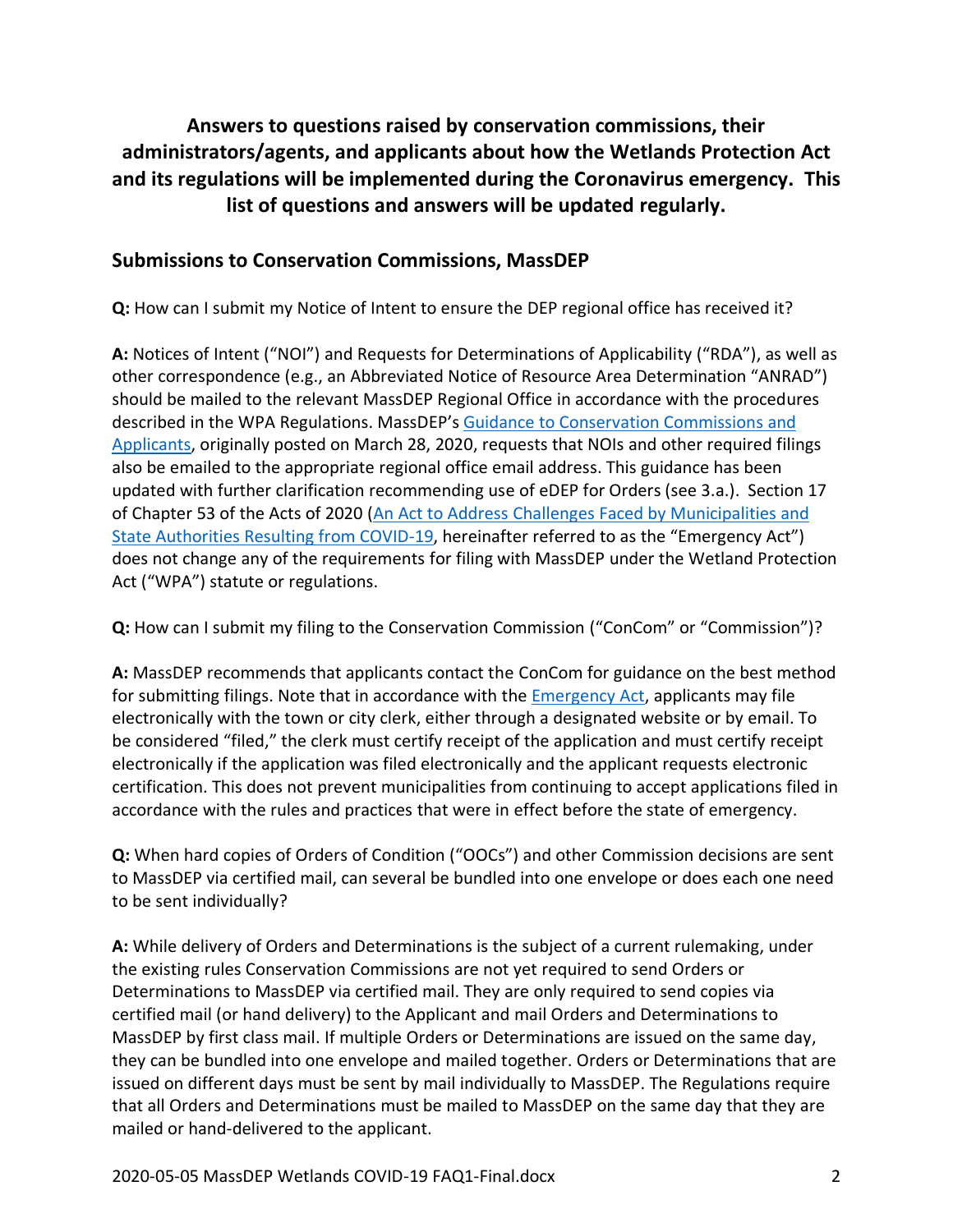# **Answers to questions raised by conservation commissions, their administrators/agents, and applicants about how the Wetlands Protection Act and its regulations will be implemented during the Coronavirus emergency. This list of questions and answers will be updated regularly.**

#### **Submissions to Conservation Commissions, MassDEP**

**Q:** How can I submit my Notice of Intent to ensure the DEP regional office has received it?

**A:** Notices of Intent ("NOI") and Requests for Determinations of Applicability ("RDA"), as well as other correspondence (e.g., an Abbreviated Notice of Resource Area Determination "ANRAD") should be mailed to the relevant MassDEP Regional Office in accordance with the procedures described in the WPA Regulations. MassDEP's [Guidance to Conservation Commissions and](https://www.mass.gov/guidance/guidance-to-conservation-commissions-for-submissions-during-massdep-office-closures)  [Applicants,](https://www.mass.gov/guidance/guidance-to-conservation-commissions-for-submissions-during-massdep-office-closures) originally posted on March 28, 2020, requests that NOIs and other required filings also be emailed to the appropriate regional office email address. This guidance has been updated with further clarification recommending use of eDEP for Orders (see 3.a.). Section 17 of Chapter 53 of the Acts of 2020 (An Act to Address [Challenges Faced by Municipalities and](https://malegislature.gov/Laws/SessionLaws/Acts/2020/Chapter53)  [State Authorities Resulting from COVID-19](https://malegislature.gov/Laws/SessionLaws/Acts/2020/Chapter53), hereinafter referred to as the "Emergency Act") does not change any of the requirements for filing with MassDEP under the Wetland Protection Act ("WPA") statute or regulations.

**Q:** How can I submit my filing to the Conservation Commission ("ConCom" or "Commission")?

**A:** MassDEP recommends that applicants contact the ConCom for guidance on the best method for submitting filings. Note that in accordance with the [Emergency Act,](https://malegislature.gov/Laws/SessionLaws/Acts/2020/Chapter53) applicants may file electronically with the town or city clerk, either through a designated website or by email. To be considered "filed," the clerk must certify receipt of the application and must certify receipt electronically if the application was filed electronically and the applicant requests electronic certification. This does not prevent municipalities from continuing to accept applications filed in accordance with the rules and practices that were in effect before the state of emergency.

**Q:** When hard copies of Orders of Condition ("OOCs") and other Commission decisions are sent to MassDEP via certified mail, can several be bundled into one envelope or does each one need to be sent individually?

**A:** While delivery of Orders and Determinations is the subject of a current rulemaking, under the existing rules Conservation Commissions are not yet required to send Orders or Determinations to MassDEP via certified mail. They are only required to send copies via certified mail (or hand delivery) to the Applicant and mail Orders and Determinations to MassDEP by first class mail. If multiple Orders or Determinations are issued on the same day, they can be bundled into one envelope and mailed together. Orders or Determinations that are issued on different days must be sent by mail individually to MassDEP. The Regulations require that all Orders and Determinations must be mailed to MassDEP on the same day that they are mailed or hand-delivered to the applicant.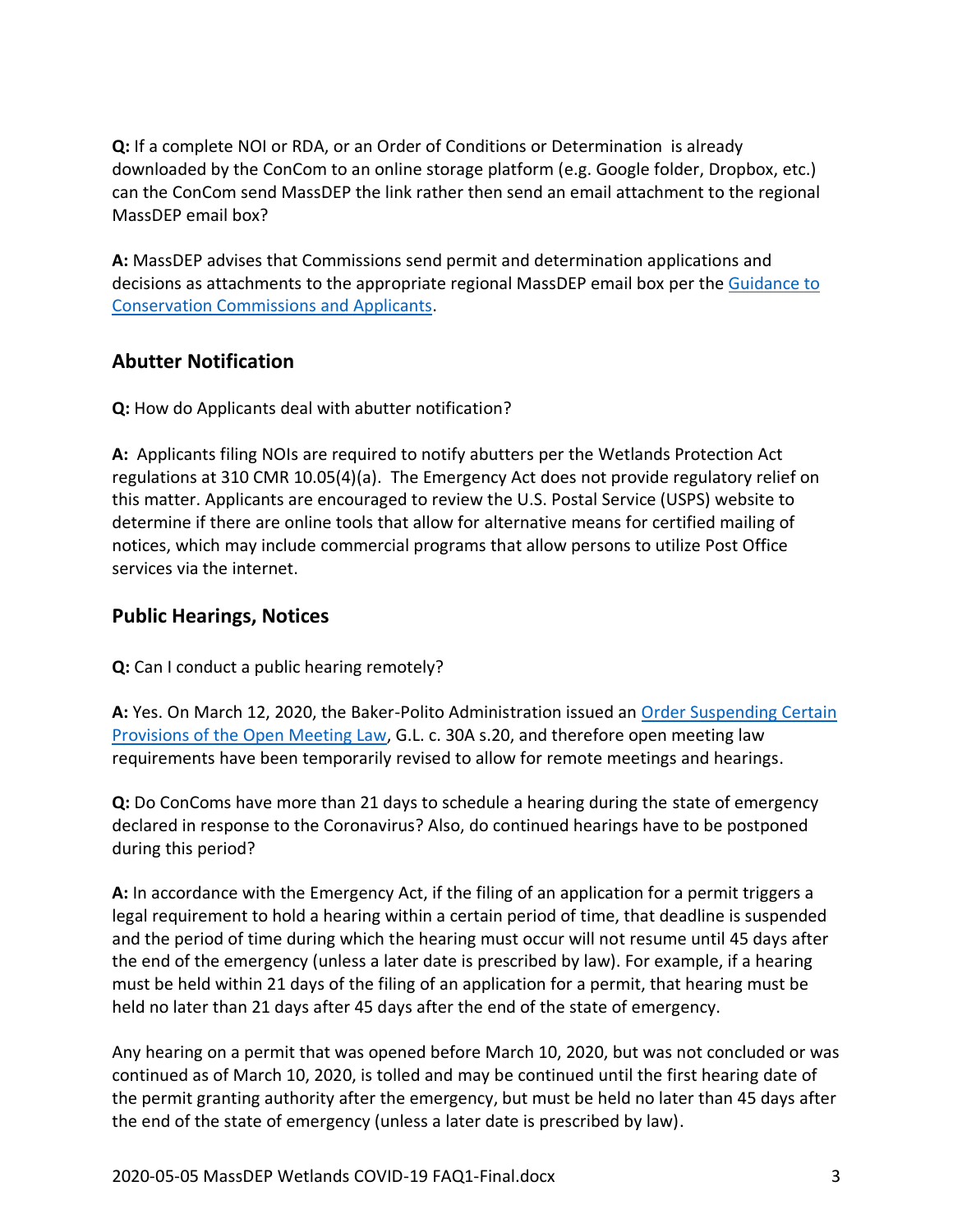**Q:** If a complete NOI or RDA, or an Order of Conditions or Determination is already downloaded by the ConCom to an online storage platform (e.g. Google folder, Dropbox, etc.) can the ConCom send MassDEP the link rather then send an email attachment to the regional MassDEP email box?

**A:** MassDEP advises that Commissions send permit and determination applications and decisions as attachments to the appropriate regional MassDEP email box per the [Guidance to](https://www.mass.gov/guidance/guidance-to-conservation-commissions-for-submissions-during-massdep-office-closures)  [Conservation Commissions and Applicants.](https://www.mass.gov/guidance/guidance-to-conservation-commissions-for-submissions-during-massdep-office-closures)

## **Abutter Notification**

**Q:** How do Applicants deal with abutter notification?

**A:** Applicants filing NOIs are required to notify abutters per the Wetlands Protection Act regulations at 310 CMR 10.05(4)(a). The Emergency Act does not provide regulatory relief on this matter. Applicants are encouraged to review the U.S. Postal Service (USPS) website to determine if there are online tools that allow for alternative means for certified mailing of notices, which may include commercial programs that allow persons to utilize Post Office services via the internet.

# **Public Hearings, Notices**

**Q:** Can I conduct a public hearing remotely?

**A:** Yes. On March 12, 2020, the Baker-Polito Administration issued an [Order Suspending Certain](https://www.mass.gov/doc/order-suspending-certain-provision-of-open-meeting-law/download)  [Provisions of the Open Meeting Law,](https://www.mass.gov/doc/order-suspending-certain-provision-of-open-meeting-law/download) G.L. c. 30A s.20, and therefore open meeting law requirements have been temporarily revised to allow for remote meetings and hearings.

**Q:** Do ConComs have more than 21 days to schedule a hearing during the state of emergency declared in response to the Coronavirus? Also, do continued hearings have to be postponed during this period?

**A:** In accordance with the Emergency Act, if the filing of an application for a permit triggers a legal requirement to hold a hearing within a certain period of time, that deadline is suspended and the period of time during which the hearing must occur will not resume until 45 days after the end of the emergency (unless a later date is prescribed by law). For example, if a hearing must be held within 21 days of the filing of an application for a permit, that hearing must be held no later than 21 days after 45 days after the end of the state of emergency.

Any hearing on a permit that was opened before March 10, 2020, but was not concluded or was continued as of March 10, 2020, is tolled and may be continued until the first hearing date of the permit granting authority after the emergency, but must be held no later than 45 days after the end of the state of emergency (unless a later date is prescribed by law).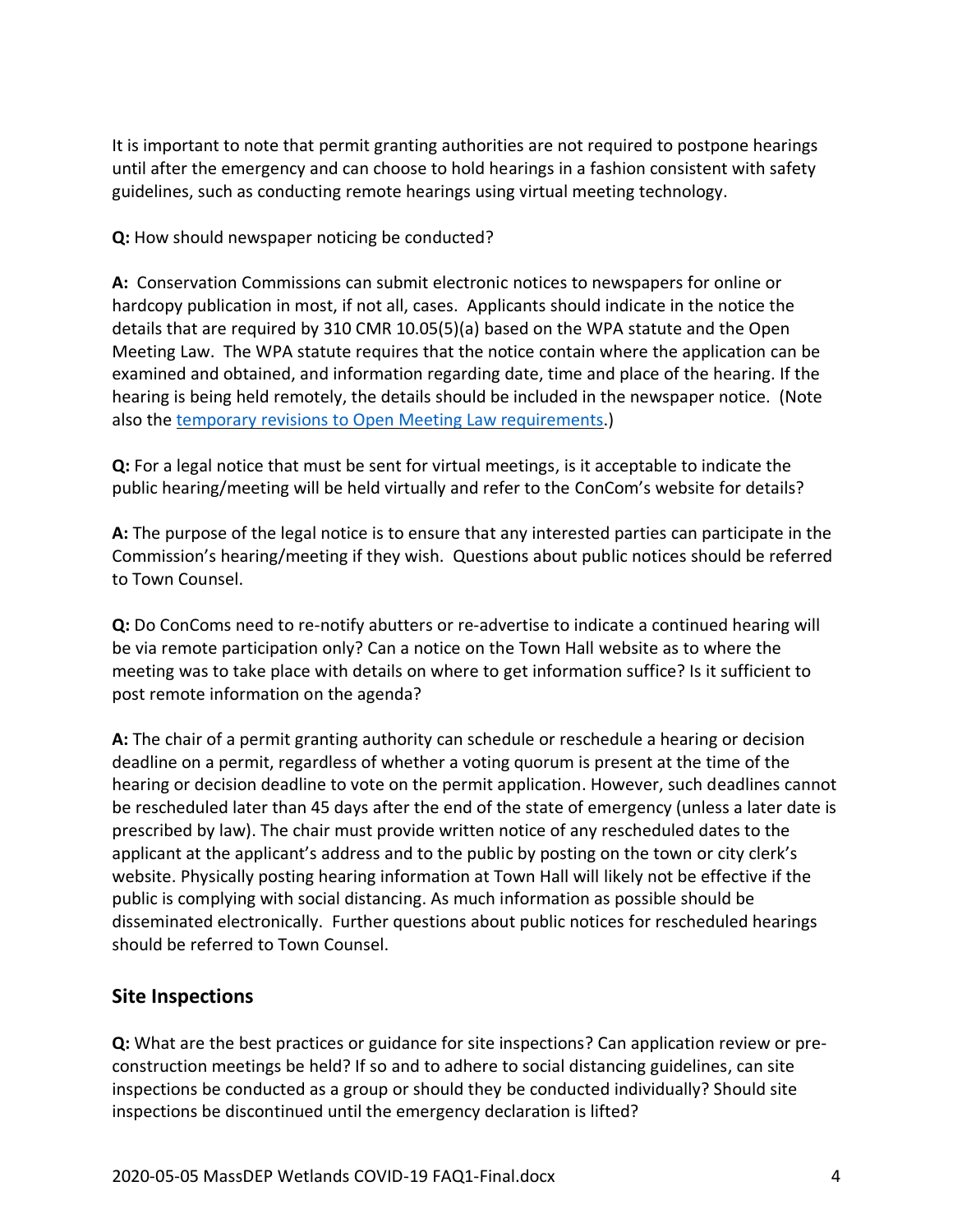It is important to note that permit granting authorities are not required to postpone hearings until after the emergency and can choose to hold hearings in a fashion consistent with safety guidelines, such as conducting remote hearings using virtual meeting technology.

**Q:** How should newspaper noticing be conducted?

**A:** Conservation Commissions can submit electronic notices to newspapers for online or hardcopy publication in most, if not all, cases. Applicants should indicate in the notice the details that are required by 310 CMR 10.05(5)(a) based on the WPA statute and the Open Meeting Law. The WPA statute requires that the notice contain where the application can be examined and obtained, and information regarding date, time and place of the hearing. If the hearing is being held remotely, the details should be included in the newspaper notice. (Note also the temporary revisions to Open Meeting Law [requirements.](https://www.mass.gov/doc/order-suspending-certain-provision-of-open-meeting-law/download))

**Q:** For a legal notice that must be sent for virtual meetings, is it acceptable to indicate the public hearing/meeting will be held virtually and refer to the ConCom's website for details?

**A:** The purpose of the legal notice is to ensure that any interested parties can participate in the Commission's hearing/meeting if they wish. Questions about public notices should be referred to Town Counsel.

**Q:** Do ConComs need to re-notify abutters or re-advertise to indicate a continued hearing will be via remote participation only? Can a notice on the Town Hall website as to where the meeting was to take place with details on where to get information suffice? Is it sufficient to post remote information on the agenda?

**A:** The chair of a permit granting authority can schedule or reschedule a hearing or decision deadline on a permit, regardless of whether a voting quorum is present at the time of the hearing or decision deadline to vote on the permit application. However, such deadlines cannot be rescheduled later than 45 days after the end of the state of emergency (unless a later date is prescribed by law). The chair must provide written notice of any rescheduled dates to the applicant at the applicant's address and to the public by posting on the town or city clerk's website. Physically posting hearing information at Town Hall will likely not be effective if the public is complying with social distancing. As much information as possible should be disseminated electronically. Further questions about public notices for rescheduled hearings should be referred to Town Counsel.

#### **Site Inspections**

**Q:** What are the best practices or guidance for site inspections? Can application review or preconstruction meetings be held? If so and to adhere to social distancing guidelines, can site inspections be conducted as a group or should they be conducted individually? Should site inspections be discontinued until the emergency declaration is lifted?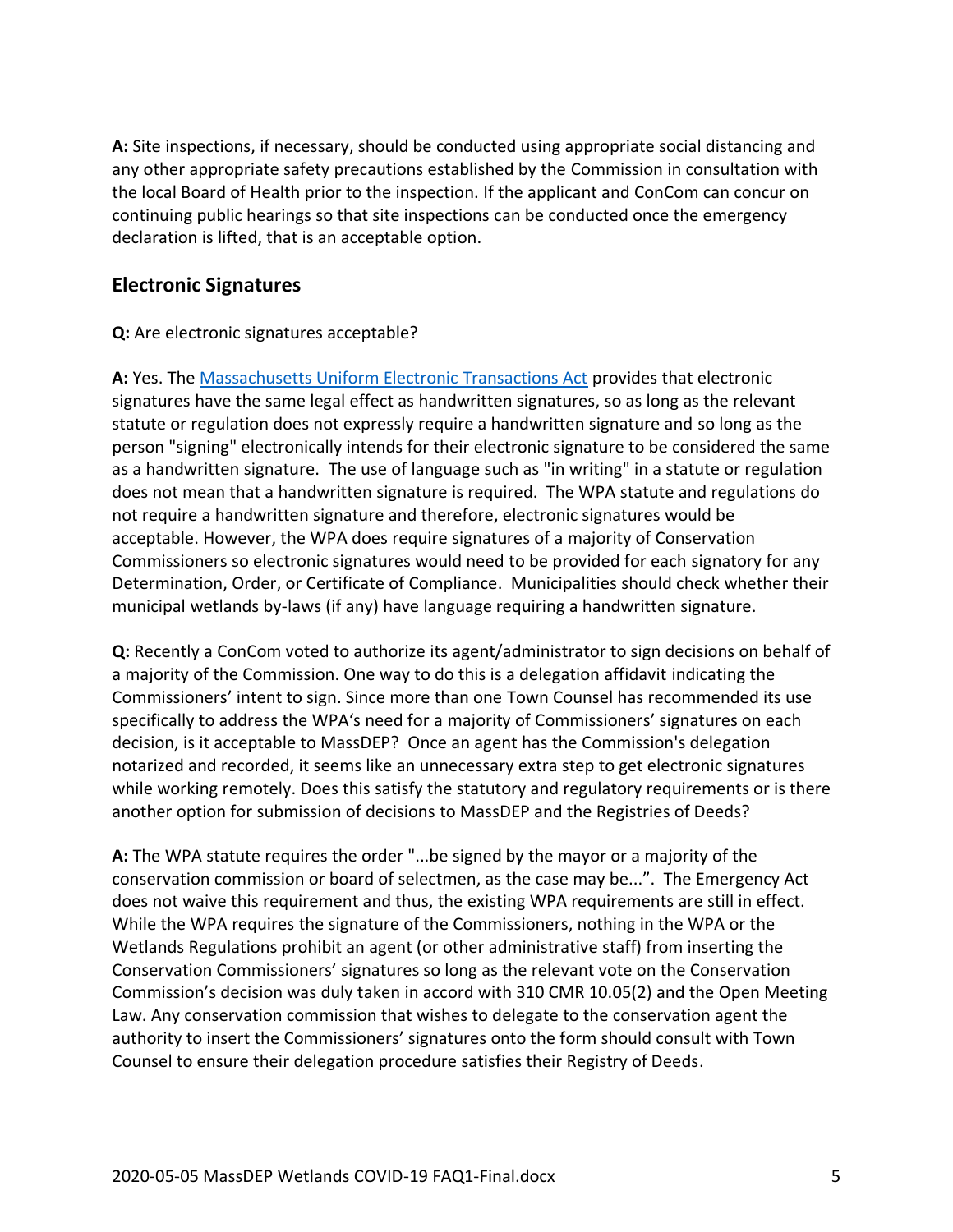**A:** Site inspections, if necessary, should be conducted using appropriate social distancing and any other appropriate safety precautions established by the Commission in consultation with the local Board of Health prior to the inspection. If the applicant and ConCom can concur on continuing public hearings so that site inspections can be conducted once the emergency declaration is lifted, that is an acceptable option.

# **Electronic Signatures**

#### **Q:** Are electronic signatures acceptable?

**A:** Yes. The [Massachusetts Uniform Electronic Transactions Act](https://malegislature.gov/laws/generallaws/parti/titlexv/chapter110g) provides that electronic signatures have the same legal effect as handwritten signatures, so as long as the relevant statute or regulation does not expressly require a handwritten signature and so long as the person "signing" electronically intends for their electronic signature to be considered the same as a handwritten signature. The use of language such as "in writing" in a statute or regulation does not mean that a handwritten signature is required. The WPA statute and regulations do not require a handwritten signature and therefore, electronic signatures would be acceptable. However, the WPA does require signatures of a majority of Conservation Commissioners so electronic signatures would need to be provided for each signatory for any Determination, Order, or Certificate of Compliance. Municipalities should check whether their municipal wetlands by-laws (if any) have language requiring a handwritten signature.

**Q:** Recently a ConCom voted to authorize its agent/administrator to sign decisions on behalf of a majority of the Commission. One way to do this is a delegation affidavit indicating the Commissioners' intent to sign. Since more than one Town Counsel has recommended its use specifically to address the WPA's need for a majority of Commissioners' signatures on each decision, is it acceptable to MassDEP? Once an agent has the Commission's delegation notarized and recorded, it seems like an unnecessary extra step to get electronic signatures while working remotely. Does this satisfy the statutory and regulatory requirements or is there another option for submission of decisions to MassDEP and the Registries of Deeds?

**A:** The WPA statute requires the order "...be signed by the mayor or a majority of the conservation commission or board of selectmen, as the case may be...". The Emergency Act does not waive this requirement and thus, the existing WPA requirements are still in effect. While the WPA requires the signature of the Commissioners, nothing in the WPA or the Wetlands Regulations prohibit an agent (or other administrative staff) from inserting the Conservation Commissioners' signatures so long as the relevant vote on the Conservation Commission's decision was duly taken in accord with 310 CMR 10.05(2) and the Open Meeting Law. Any conservation commission that wishes to delegate to the conservation agent the authority to insert the Commissioners' signatures onto the form should consult with Town Counsel to ensure their delegation procedure satisfies their Registry of Deeds.